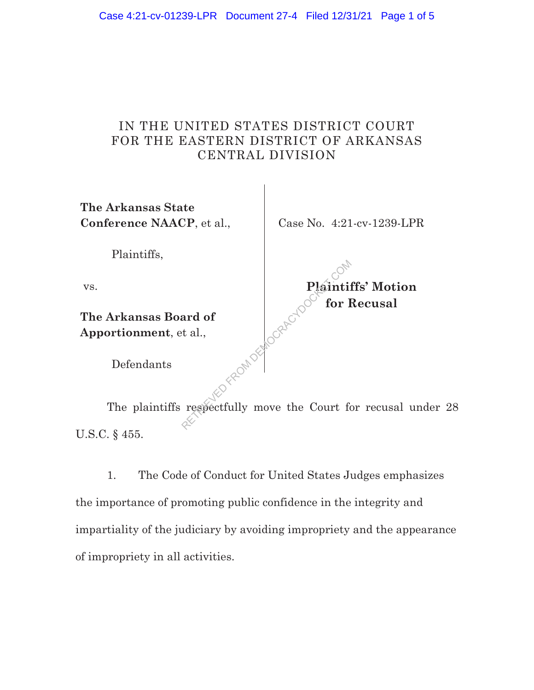## IN THE UNITED STATES DISTRICT COURT FOR THE EASTERN DISTRICT OF ARKANSAS CENTRAL DIVISION

**The Arkansas State Conference NAACP**, et al.,

Case No. 4:21-cv-1239-LPR

Plaintiffs,

vs.

**The Arkansas Board of Apportionment**, et al.,

**Plaintiffs' Motion for Recusal** 

Defendants

 The plaintiffs respectfully move the Court for recusal under 28 U.S.C. § 455. Plaintif<br>
ard of<br>
t al.,<br>
respectfully move the Court for

1. The Code of Conduct for United States Judges emphasizes the importance of promoting public confidence in the integrity and impartiality of the judiciary by avoiding impropriety and the appearance of impropriety in all activities.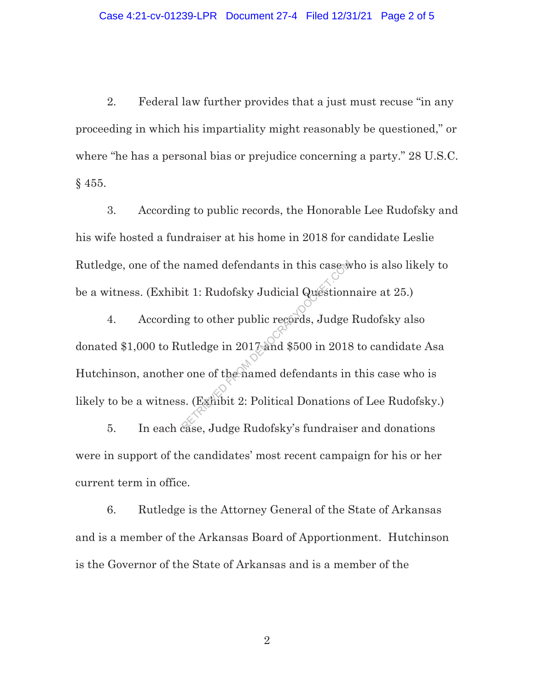2. Federal law further provides that a just must recuse "in any proceeding in which his impartiality might reasonably be questioned," or where "he has a personal bias or prejudice concerning a party." 28 U.S.C. § 455.

3. According to public records, the Honorable Lee Rudofsky and his wife hosted a fundraiser at his home in 2018 for candidate Leslie Rutledge, one of the named defendants in this case who is also likely to be a witness. (Exhibit 1: Rudofsky Judicial Questionnaire at 25.)

4. According to other public records, Judge Rudofsky also donated \$1,000 to Rutledge in 2017 and \$500 in 2018 to candidate Asa Hutchinson, another one of the named defendants in this case who is likely to be a witness. (Exhibit 2: Political Donations of Lee Rudofsky.) named defendants in this case<br>it 1: Rudofsky Judicial Questions<br>ag to other public records, Judge<br>utledge in 2017 and \$500 in 2018<br>come of the named defendants in<br>s. (Exhibit 2: Political Donations

5. In each case, Judge Rudofsky's fundraiser and donations were in support of the candidates' most recent campaign for his or her current term in office.

6. Rutledge is the Attorney General of the State of Arkansas and is a member of the Arkansas Board of Apportionment. Hutchinson is the Governor of the State of Arkansas and is a member of the

2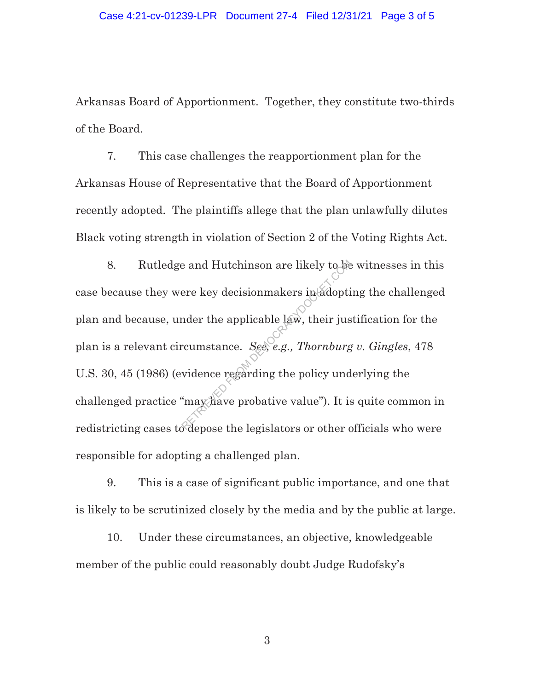Arkansas Board of Apportionment. Together, they constitute two-thirds of the Board.

7. This case challenges the reapportionment plan for the Arkansas House of Representative that the Board of Apportionment recently adopted. The plaintiffs allege that the plan unlawfully dilutes Black voting strength in violation of Section 2 of the Voting Rights Act.

8. Rutledge and Hutchinson are likely to be witnesses in this case because they were key decisionmakers in adopting the challenged plan and because, under the applicable law, their justification for the plan is a relevant circumstance. *See, e.g., Thornburg v. Gingles*, 478 U.S. 30, 45 (1986) (evidence regarding the policy underlying the challenged practice "may have probative value"). It is quite common in redistricting cases to depose the legislators or other officials who were responsible for adopting a challenged plan. ere key decisionmakers in adopti<br>
ere key decisionmakers in adopti<br>
mder the applicable law, their jus<br>
rcumstance. *See, e.g., Thornburg*<br>
vidence regarding the policy und<br>
"max have probative value"). It is<br>
seems the le

9. This is a case of significant public importance, and one that is likely to be scrutinized closely by the media and by the public at large.

10. Under these circumstances, an objective, knowledgeable member of the public could reasonably doubt Judge Rudofsky's

3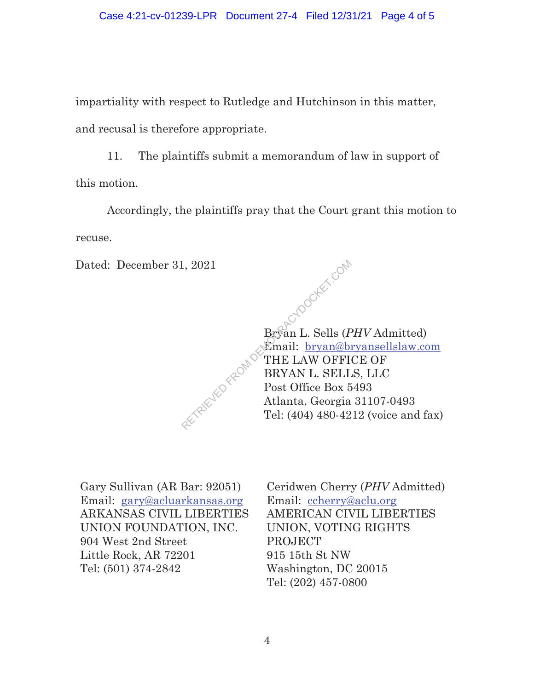impartiality with respect to Rutledge and Hutchinson in this matter, and recusal is therefore appropriate.

11. The plaintiffs submit a memorandum of law in support of this motion.

 Accordingly, the plaintiffs pray that the Court grant this motion to recuse.

Dated: December 31, 2021

 Bryan L. Sells (*PHV* Admitted) Email: bryan@bryansellslaw.com THE LAW OFFICE OF BRYAN L. SELLS, LLC Post Office Box 5493 Atlanta, Georgia 31107-0493 Tel: (404) 480-4212 (voice and fax) r Cytocokki com

Gary Sullivan (AR Bar: 92051) Email: gary@acluarkansas.org ARKANSAS CIVIL LIBERTIES UNION FOUNDATION, INC. 904 West 2nd Street Little Rock, AR 72201 Tel: (501) 374-2842

Ceridwen Cherry (*PHV* Admitted) Email: ccherry@aclu.org AMERICAN CIVIL LIBERTIES UNION, VOTING RIGHTS PROJECT 915 15th St NW Washington, DC 20015 Tel: (202) 457-0800